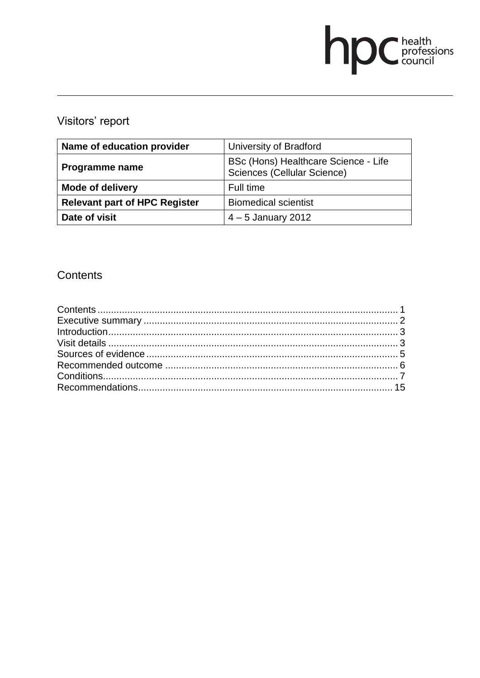# **DC** health<br>council

# Visitors' report

| Name of education provider           | University of Bradford                                              |
|--------------------------------------|---------------------------------------------------------------------|
| Programme name                       | BSc (Hons) Healthcare Science - Life<br>Sciences (Cellular Science) |
| <b>Mode of delivery</b>              | Full time                                                           |
| <b>Relevant part of HPC Register</b> | <b>Biomedical scientist</b>                                         |
| Date of visit                        | $4-5$ January 2012                                                  |

# Contents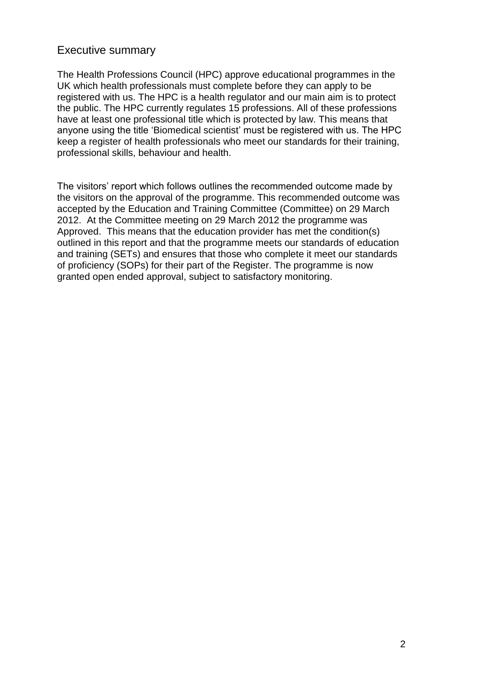### Executive summary

The Health Professions Council (HPC) approve educational programmes in the UK which health professionals must complete before they can apply to be registered with us. The HPC is a health regulator and our main aim is to protect the public. The HPC currently regulates 15 professions. All of these professions have at least one professional title which is protected by law. This means that anyone using the title 'Biomedical scientist' must be registered with us. The HPC keep a register of health professionals who meet our standards for their training, professional skills, behaviour and health.

The visitors' report which follows outlines the recommended outcome made by the visitors on the approval of the programme. This recommended outcome was accepted by the Education and Training Committee (Committee) on 29 March 2012. At the Committee meeting on 29 March 2012 the programme was Approved. This means that the education provider has met the condition(s) outlined in this report and that the programme meets our standards of education and training (SETs) and ensures that those who complete it meet our standards of proficiency (SOPs) for their part of the Register. The programme is now granted open ended approval, subject to satisfactory monitoring.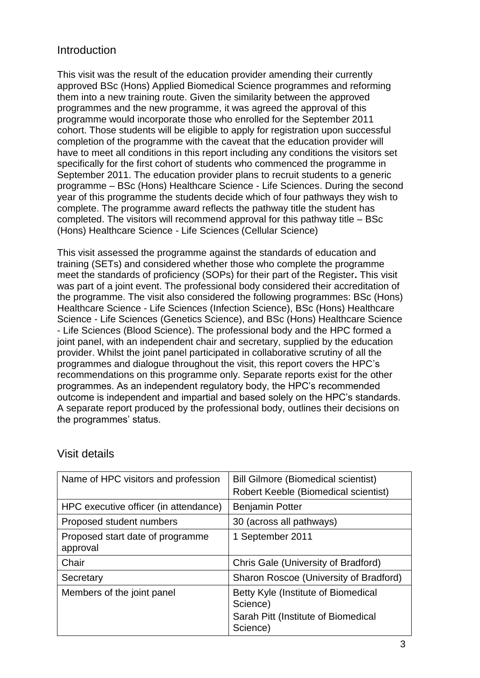# Introduction

This visit was the result of the education provider amending their currently approved BSc (Hons) Applied Biomedical Science programmes and reforming them into a new training route. Given the similarity between the approved programmes and the new programme, it was agreed the approval of this programme would incorporate those who enrolled for the September 2011 cohort. Those students will be eligible to apply for registration upon successful completion of the programme with the caveat that the education provider will have to meet all conditions in this report including any conditions the visitors set specifically for the first cohort of students who commenced the programme in September 2011. The education provider plans to recruit students to a generic programme – BSc (Hons) Healthcare Science - Life Sciences. During the second year of this programme the students decide which of four pathways they wish to complete. The programme award reflects the pathway title the student has completed. The visitors will recommend approval for this pathway title – BSc (Hons) Healthcare Science - Life Sciences (Cellular Science)

This visit assessed the programme against the standards of education and training (SETs) and considered whether those who complete the programme meet the standards of proficiency (SOPs) for their part of the Register**.** This visit was part of a joint event. The professional body considered their accreditation of the programme. The visit also considered the following programmes: BSc (Hons) Healthcare Science - Life Sciences (Infection Science), BSc (Hons) Healthcare Science - Life Sciences (Genetics Science), and BSc (Hons) Healthcare Science - Life Sciences (Blood Science). The professional body and the HPC formed a joint panel, with an independent chair and secretary, supplied by the education provider. Whilst the joint panel participated in collaborative scrutiny of all the programmes and dialogue throughout the visit, this report covers the HPC's recommendations on this programme only. Separate reports exist for the other programmes. As an independent regulatory body, the HPC's recommended outcome is independent and impartial and based solely on the HPC's standards. A separate report produced by the professional body, outlines their decisions on the programmes' status.

| Name of HPC visitors and profession          | <b>Bill Gilmore (Biomedical scientist)</b>      |
|----------------------------------------------|-------------------------------------------------|
|                                              | Robert Keeble (Biomedical scientist)            |
| HPC executive officer (in attendance)        | <b>Benjamin Potter</b>                          |
| Proposed student numbers                     | 30 (across all pathways)                        |
| Proposed start date of programme<br>approval | 1 September 2011                                |
| Chair                                        | Chris Gale (University of Bradford)             |
| Secretary                                    | Sharon Roscoe (University of Bradford)          |
| Members of the joint panel                   | Betty Kyle (Institute of Biomedical<br>Science) |
|                                              | Sarah Pitt (Institute of Biomedical<br>Science) |

# Visit details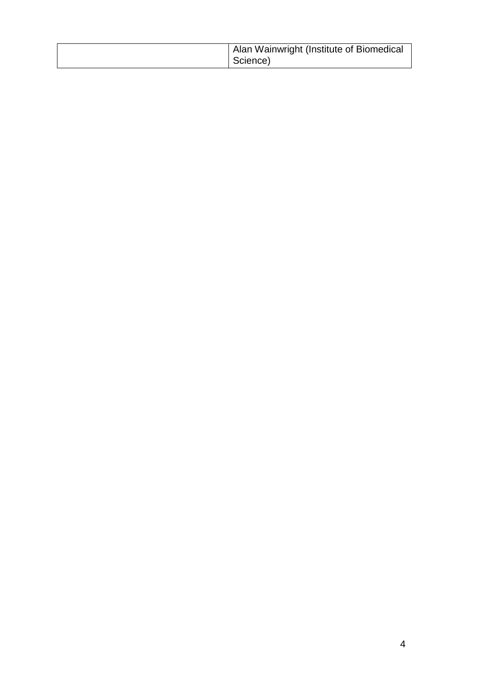| Alan Wainwright (Institute of Biomedical |
|------------------------------------------|
| Science)                                 |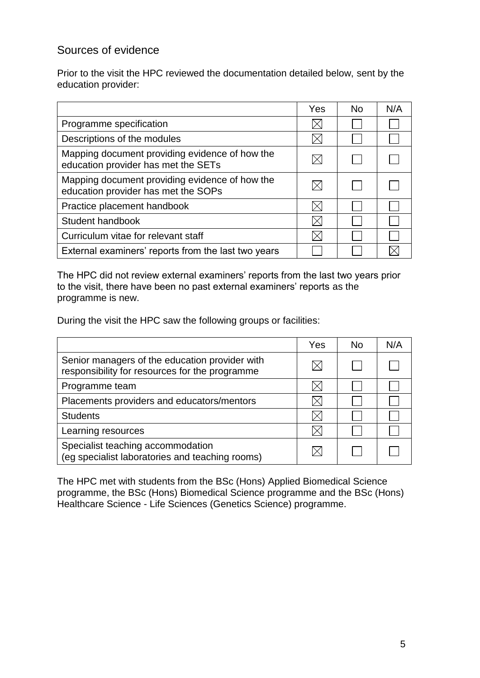# Sources of evidence

Prior to the visit the HPC reviewed the documentation detailed below, sent by the education provider:

|                                                                                       | Yes | <b>No</b> | N/A |
|---------------------------------------------------------------------------------------|-----|-----------|-----|
| Programme specification                                                               |     |           |     |
| Descriptions of the modules                                                           |     |           |     |
| Mapping document providing evidence of how the<br>education provider has met the SETs |     |           |     |
| Mapping document providing evidence of how the<br>education provider has met the SOPs |     |           |     |
| Practice placement handbook                                                           |     |           |     |
| Student handbook                                                                      |     |           |     |
| Curriculum vitae for relevant staff                                                   |     |           |     |
| External examiners' reports from the last two years                                   |     |           |     |

The HPC did not review external examiners' reports from the last two years prior to the visit, there have been no past external examiners' reports as the programme is new.

During the visit the HPC saw the following groups or facilities:

|                                                                                                  | Yes | No. | N/A |
|--------------------------------------------------------------------------------------------------|-----|-----|-----|
| Senior managers of the education provider with<br>responsibility for resources for the programme |     |     |     |
| Programme team                                                                                   |     |     |     |
| Placements providers and educators/mentors                                                       |     |     |     |
| <b>Students</b>                                                                                  |     |     |     |
| Learning resources                                                                               |     |     |     |
| Specialist teaching accommodation<br>(eg specialist laboratories and teaching rooms)             |     |     |     |

The HPC met with students from the BSc (Hons) Applied Biomedical Science programme, the BSc (Hons) Biomedical Science programme and the BSc (Hons) Healthcare Science - Life Sciences (Genetics Science) programme.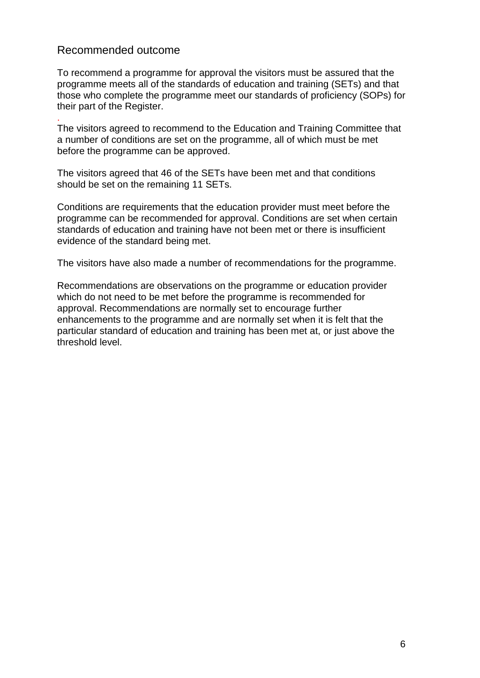# Recommended outcome

.

To recommend a programme for approval the visitors must be assured that the programme meets all of the standards of education and training (SETs) and that those who complete the programme meet our standards of proficiency (SOPs) for their part of the Register.

The visitors agreed to recommend to the Education and Training Committee that a number of conditions are set on the programme, all of which must be met before the programme can be approved.

The visitors agreed that 46 of the SETs have been met and that conditions should be set on the remaining 11 SETs.

Conditions are requirements that the education provider must meet before the programme can be recommended for approval. Conditions are set when certain standards of education and training have not been met or there is insufficient evidence of the standard being met.

The visitors have also made a number of recommendations for the programme.

Recommendations are observations on the programme or education provider which do not need to be met before the programme is recommended for approval. Recommendations are normally set to encourage further enhancements to the programme and are normally set when it is felt that the particular standard of education and training has been met at, or just above the threshold level.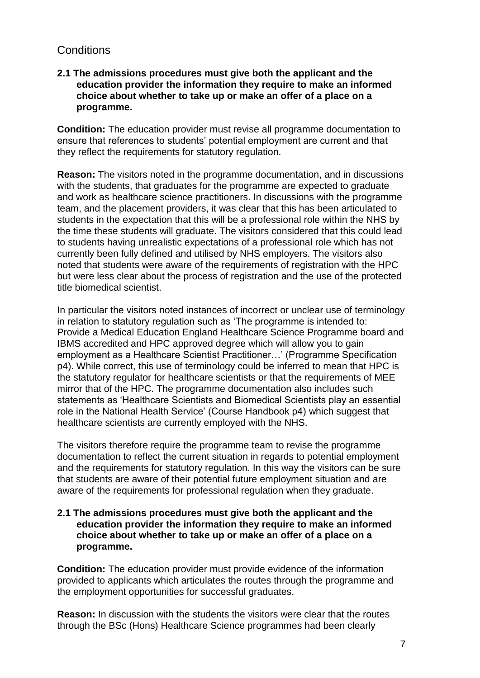# **Conditions**

#### **2.1 The admissions procedures must give both the applicant and the education provider the information they require to make an informed choice about whether to take up or make an offer of a place on a programme.**

**Condition:** The education provider must revise all programme documentation to ensure that references to students' potential employment are current and that they reflect the requirements for statutory regulation.

**Reason:** The visitors noted in the programme documentation, and in discussions with the students, that graduates for the programme are expected to graduate and work as healthcare science practitioners. In discussions with the programme team, and the placement providers, it was clear that this has been articulated to students in the expectation that this will be a professional role within the NHS by the time these students will graduate. The visitors considered that this could lead to students having unrealistic expectations of a professional role which has not currently been fully defined and utilised by NHS employers. The visitors also noted that students were aware of the requirements of registration with the HPC but were less clear about the process of registration and the use of the protected title biomedical scientist.

In particular the visitors noted instances of incorrect or unclear use of terminology in relation to statutory regulation such as 'The programme is intended to: Provide a Medical Education England Healthcare Science Programme board and IBMS accredited and HPC approved degree which will allow you to gain employment as a Healthcare Scientist Practitioner…' (Programme Specification p4). While correct, this use of terminology could be inferred to mean that HPC is the statutory regulator for healthcare scientists or that the requirements of MEE mirror that of the HPC. The programme documentation also includes such statements as 'Healthcare Scientists and Biomedical Scientists play an essential role in the National Health Service' (Course Handbook p4) which suggest that healthcare scientists are currently employed with the NHS.

The visitors therefore require the programme team to revise the programme documentation to reflect the current situation in regards to potential employment and the requirements for statutory regulation. In this way the visitors can be sure that students are aware of their potential future employment situation and are aware of the requirements for professional regulation when they graduate.

#### **2.1 The admissions procedures must give both the applicant and the education provider the information they require to make an informed choice about whether to take up or make an offer of a place on a programme.**

**Condition:** The education provider must provide evidence of the information provided to applicants which articulates the routes through the programme and the employment opportunities for successful graduates.

**Reason:** In discussion with the students the visitors were clear that the routes through the BSc (Hons) Healthcare Science programmes had been clearly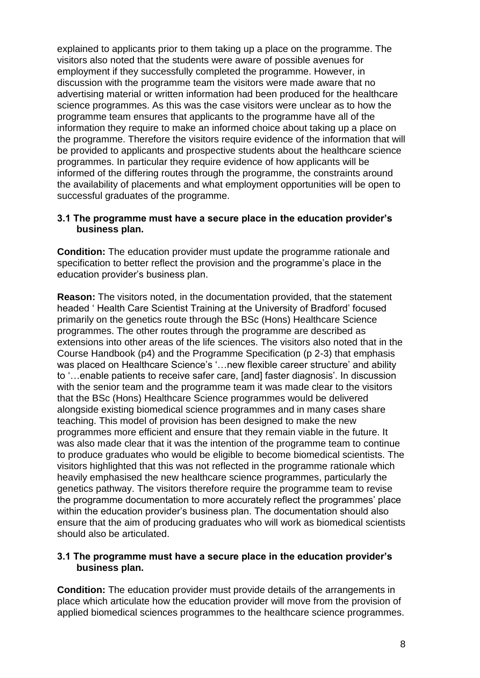explained to applicants prior to them taking up a place on the programme. The visitors also noted that the students were aware of possible avenues for employment if they successfully completed the programme. However, in discussion with the programme team the visitors were made aware that no advertising material or written information had been produced for the healthcare science programmes. As this was the case visitors were unclear as to how the programme team ensures that applicants to the programme have all of the information they require to make an informed choice about taking up a place on the programme. Therefore the visitors require evidence of the information that will be provided to applicants and prospective students about the healthcare science programmes. In particular they require evidence of how applicants will be informed of the differing routes through the programme, the constraints around the availability of placements and what employment opportunities will be open to successful graduates of the programme.

#### **3.1 The programme must have a secure place in the education provider's business plan.**

**Condition:** The education provider must update the programme rationale and specification to better reflect the provision and the programme's place in the education provider's business plan.

**Reason:** The visitors noted, in the documentation provided, that the statement headed ' Health Care Scientist Training at the University of Bradford' focused primarily on the genetics route through the BSc (Hons) Healthcare Science programmes. The other routes through the programme are described as extensions into other areas of the life sciences. The visitors also noted that in the Course Handbook (p4) and the Programme Specification (p 2-3) that emphasis was placed on Healthcare Science's '…new flexible career structure' and ability to '…enable patients to receive safer care, [and] faster diagnosis'. In discussion with the senior team and the programme team it was made clear to the visitors that the BSc (Hons) Healthcare Science programmes would be delivered alongside existing biomedical science programmes and in many cases share teaching. This model of provision has been designed to make the new programmes more efficient and ensure that they remain viable in the future. It was also made clear that it was the intention of the programme team to continue to produce graduates who would be eligible to become biomedical scientists. The visitors highlighted that this was not reflected in the programme rationale which heavily emphasised the new healthcare science programmes, particularly the genetics pathway. The visitors therefore require the programme team to revise the programme documentation to more accurately reflect the programmes' place within the education provider's business plan. The documentation should also ensure that the aim of producing graduates who will work as biomedical scientists should also be articulated.

#### **3.1 The programme must have a secure place in the education provider's business plan.**

**Condition:** The education provider must provide details of the arrangements in place which articulate how the education provider will move from the provision of applied biomedical sciences programmes to the healthcare science programmes.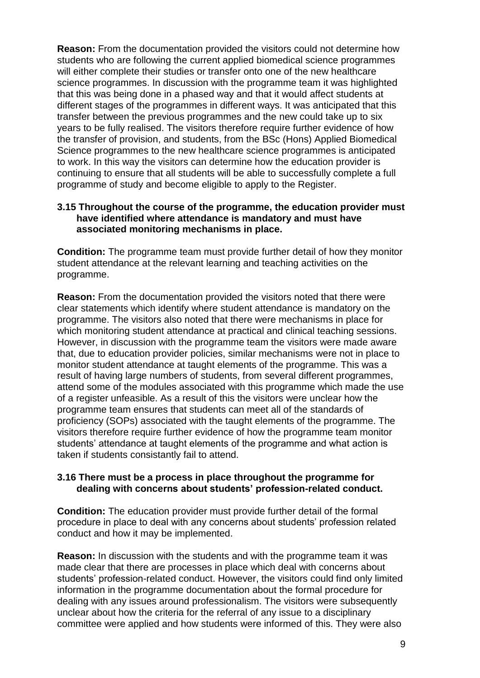**Reason:** From the documentation provided the visitors could not determine how students who are following the current applied biomedical science programmes will either complete their studies or transfer onto one of the new healthcare science programmes. In discussion with the programme team it was highlighted that this was being done in a phased way and that it would affect students at different stages of the programmes in different ways. It was anticipated that this transfer between the previous programmes and the new could take up to six years to be fully realised. The visitors therefore require further evidence of how the transfer of provision, and students, from the BSc (Hons) Applied Biomedical Science programmes to the new healthcare science programmes is anticipated to work. In this way the visitors can determine how the education provider is continuing to ensure that all students will be able to successfully complete a full programme of study and become eligible to apply to the Register.

#### **3.15 Throughout the course of the programme, the education provider must have identified where attendance is mandatory and must have associated monitoring mechanisms in place.**

**Condition:** The programme team must provide further detail of how they monitor student attendance at the relevant learning and teaching activities on the programme.

**Reason:** From the documentation provided the visitors noted that there were clear statements which identify where student attendance is mandatory on the programme. The visitors also noted that there were mechanisms in place for which monitoring student attendance at practical and clinical teaching sessions. However, in discussion with the programme team the visitors were made aware that, due to education provider policies, similar mechanisms were not in place to monitor student attendance at taught elements of the programme. This was a result of having large numbers of students, from several different programmes, attend some of the modules associated with this programme which made the use of a register unfeasible. As a result of this the visitors were unclear how the programme team ensures that students can meet all of the standards of proficiency (SOPs) associated with the taught elements of the programme. The visitors therefore require further evidence of how the programme team monitor students' attendance at taught elements of the programme and what action is taken if students consistantly fail to attend.

#### **3.16 There must be a process in place throughout the programme for dealing with concerns about students' profession-related conduct.**

**Condition:** The education provider must provide further detail of the formal procedure in place to deal with any concerns about students' profession related conduct and how it may be implemented.

**Reason:** In discussion with the students and with the programme team it was made clear that there are processes in place which deal with concerns about students' profession-related conduct. However, the visitors could find only limited information in the programme documentation about the formal procedure for dealing with any issues around professionalism. The visitors were subsequently unclear about how the criteria for the referral of any issue to a disciplinary committee were applied and how students were informed of this. They were also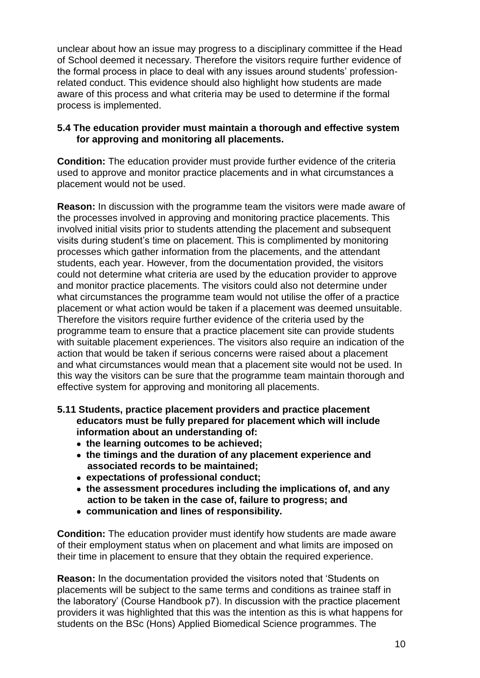unclear about how an issue may progress to a disciplinary committee if the Head of School deemed it necessary. Therefore the visitors require further evidence of the formal process in place to deal with any issues around students' professionrelated conduct. This evidence should also highlight how students are made aware of this process and what criteria may be used to determine if the formal process is implemented.

#### **5.4 The education provider must maintain a thorough and effective system for approving and monitoring all placements.**

**Condition:** The education provider must provide further evidence of the criteria used to approve and monitor practice placements and in what circumstances a placement would not be used.

**Reason:** In discussion with the programme team the visitors were made aware of the processes involved in approving and monitoring practice placements. This involved initial visits prior to students attending the placement and subsequent visits during student's time on placement. This is complimented by monitoring processes which gather information from the placements, and the attendant students, each year. However, from the documentation provided, the visitors could not determine what criteria are used by the education provider to approve and monitor practice placements. The visitors could also not determine under what circumstances the programme team would not utilise the offer of a practice placement or what action would be taken if a placement was deemed unsuitable. Therefore the visitors require further evidence of the criteria used by the programme team to ensure that a practice placement site can provide students with suitable placement experiences. The visitors also require an indication of the action that would be taken if serious concerns were raised about a placement and what circumstances would mean that a placement site would not be used. In this way the visitors can be sure that the programme team maintain thorough and effective system for approving and monitoring all placements.

- **5.11 Students, practice placement providers and practice placement educators must be fully prepared for placement which will include information about an understanding of:** 
	- **the learning outcomes to be achieved;**
	- **the timings and the duration of any placement experience and associated records to be maintained;**
	- **expectations of professional conduct;**
	- **the assessment procedures including the implications of, and any action to be taken in the case of, failure to progress; and**
	- **communication and lines of responsibility.**

**Condition:** The education provider must identify how students are made aware of their employment status when on placement and what limits are imposed on their time in placement to ensure that they obtain the required experience.

**Reason:** In the documentation provided the visitors noted that 'Students on placements will be subject to the same terms and conditions as trainee staff in the laboratory' (Course Handbook p7). In discussion with the practice placement providers it was highlighted that this was the intention as this is what happens for students on the BSc (Hons) Applied Biomedical Science programmes. The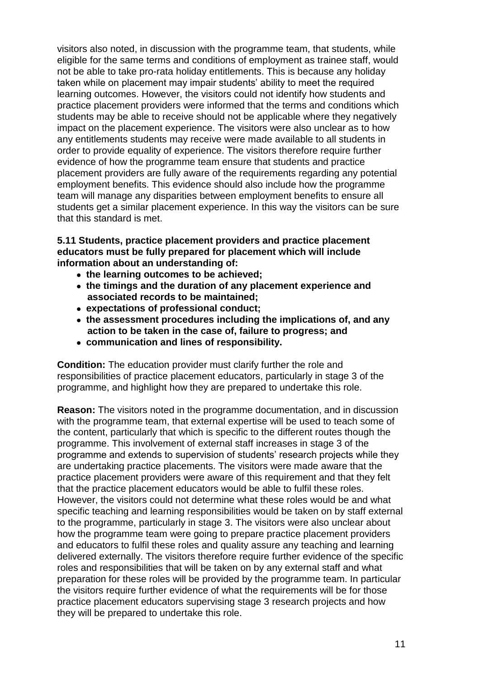visitors also noted, in discussion with the programme team, that students, while eligible for the same terms and conditions of employment as trainee staff, would not be able to take pro-rata holiday entitlements. This is because any holiday taken while on placement may impair students' ability to meet the required learning outcomes. However, the visitors could not identify how students and practice placement providers were informed that the terms and conditions which students may be able to receive should not be applicable where they negatively impact on the placement experience. The visitors were also unclear as to how any entitlements students may receive were made available to all students in order to provide equality of experience. The visitors therefore require further evidence of how the programme team ensure that students and practice placement providers are fully aware of the requirements regarding any potential employment benefits. This evidence should also include how the programme team will manage any disparities between employment benefits to ensure all students get a similar placement experience. In this way the visitors can be sure that this standard is met.

#### **5.11 Students, practice placement providers and practice placement educators must be fully prepared for placement which will include information about an understanding of:**

- **the learning outcomes to be achieved;**
- **the timings and the duration of any placement experience and associated records to be maintained;**
- **expectations of professional conduct;**
- **the assessment procedures including the implications of, and any action to be taken in the case of, failure to progress; and**
- **communication and lines of responsibility.**

**Condition:** The education provider must clarify further the role and responsibilities of practice placement educators, particularly in stage 3 of the programme, and highlight how they are prepared to undertake this role.

**Reason:** The visitors noted in the programme documentation, and in discussion with the programme team, that external expertise will be used to teach some of the content, particularly that which is specific to the different routes though the programme. This involvement of external staff increases in stage 3 of the programme and extends to supervision of students' research projects while they are undertaking practice placements. The visitors were made aware that the practice placement providers were aware of this requirement and that they felt that the practice placement educators would be able to fulfil these roles. However, the visitors could not determine what these roles would be and what specific teaching and learning responsibilities would be taken on by staff external to the programme, particularly in stage 3. The visitors were also unclear about how the programme team were going to prepare practice placement providers and educators to fulfil these roles and quality assure any teaching and learning delivered externally. The visitors therefore require further evidence of the specific roles and responsibilities that will be taken on by any external staff and what preparation for these roles will be provided by the programme team. In particular the visitors require further evidence of what the requirements will be for those practice placement educators supervising stage 3 research projects and how they will be prepared to undertake this role.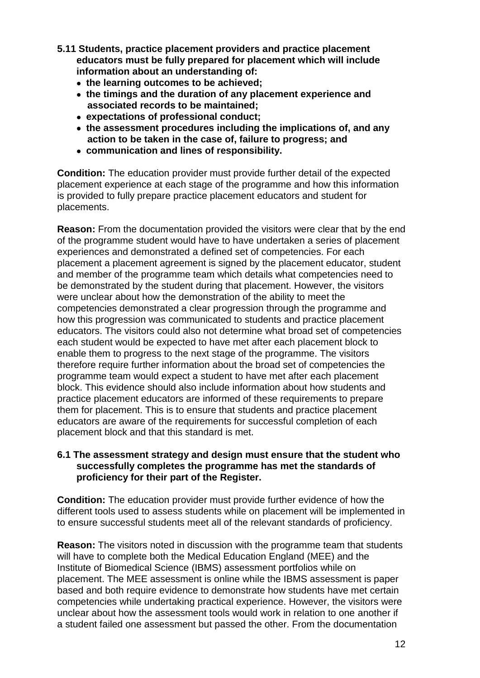- **5.11 Students, practice placement providers and practice placement educators must be fully prepared for placement which will include information about an understanding of:** 
	- **the learning outcomes to be achieved;**
	- **the timings and the duration of any placement experience and associated records to be maintained;**
	- **expectations of professional conduct;**
	- **the assessment procedures including the implications of, and any action to be taken in the case of, failure to progress; and**
	- **communication and lines of responsibility.**

**Condition:** The education provider must provide further detail of the expected placement experience at each stage of the programme and how this information is provided to fully prepare practice placement educators and student for placements.

**Reason:** From the documentation provided the visitors were clear that by the end of the programme student would have to have undertaken a series of placement experiences and demonstrated a defined set of competencies. For each placement a placement agreement is signed by the placement educator, student and member of the programme team which details what competencies need to be demonstrated by the student during that placement. However, the visitors were unclear about how the demonstration of the ability to meet the competencies demonstrated a clear progression through the programme and how this progression was communicated to students and practice placement educators. The visitors could also not determine what broad set of competencies each student would be expected to have met after each placement block to enable them to progress to the next stage of the programme. The visitors therefore require further information about the broad set of competencies the programme team would expect a student to have met after each placement block. This evidence should also include information about how students and practice placement educators are informed of these requirements to prepare them for placement. This is to ensure that students and practice placement educators are aware of the requirements for successful completion of each placement block and that this standard is met.

#### **6.1 The assessment strategy and design must ensure that the student who successfully completes the programme has met the standards of proficiency for their part of the Register.**

**Condition:** The education provider must provide further evidence of how the different tools used to assess students while on placement will be implemented in to ensure successful students meet all of the relevant standards of proficiency.

**Reason:** The visitors noted in discussion with the programme team that students will have to complete both the Medical Education England (MEE) and the Institute of Biomedical Science (IBMS) assessment portfolios while on placement. The MEE assessment is online while the IBMS assessment is paper based and both require evidence to demonstrate how students have met certain competencies while undertaking practical experience. However, the visitors were unclear about how the assessment tools would work in relation to one another if a student failed one assessment but passed the other. From the documentation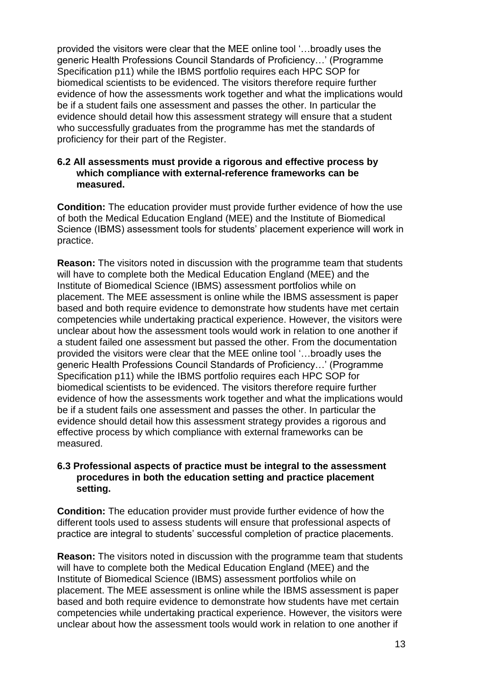provided the visitors were clear that the MEE online tool '…broadly uses the generic Health Professions Council Standards of Proficiency…' (Programme Specification p11) while the IBMS portfolio requires each HPC SOP for biomedical scientists to be evidenced. The visitors therefore require further evidence of how the assessments work together and what the implications would be if a student fails one assessment and passes the other. In particular the evidence should detail how this assessment strategy will ensure that a student who successfully graduates from the programme has met the standards of proficiency for their part of the Register.

#### **6.2 All assessments must provide a rigorous and effective process by which compliance with external-reference frameworks can be measured.**

**Condition:** The education provider must provide further evidence of how the use of both the Medical Education England (MEE) and the Institute of Biomedical Science (IBMS) assessment tools for students' placement experience will work in practice.

**Reason:** The visitors noted in discussion with the programme team that students will have to complete both the Medical Education England (MEE) and the Institute of Biomedical Science (IBMS) assessment portfolios while on placement. The MEE assessment is online while the IBMS assessment is paper based and both require evidence to demonstrate how students have met certain competencies while undertaking practical experience. However, the visitors were unclear about how the assessment tools would work in relation to one another if a student failed one assessment but passed the other. From the documentation provided the visitors were clear that the MEE online tool '…broadly uses the generic Health Professions Council Standards of Proficiency…' (Programme Specification p11) while the IBMS portfolio requires each HPC SOP for biomedical scientists to be evidenced. The visitors therefore require further evidence of how the assessments work together and what the implications would be if a student fails one assessment and passes the other. In particular the evidence should detail how this assessment strategy provides a rigorous and effective process by which compliance with external frameworks can be measured.

#### **6.3 Professional aspects of practice must be integral to the assessment procedures in both the education setting and practice placement setting.**

**Condition:** The education provider must provide further evidence of how the different tools used to assess students will ensure that professional aspects of practice are integral to students' successful completion of practice placements.

**Reason:** The visitors noted in discussion with the programme team that students will have to complete both the Medical Education England (MEE) and the Institute of Biomedical Science (IBMS) assessment portfolios while on placement. The MEE assessment is online while the IBMS assessment is paper based and both require evidence to demonstrate how students have met certain competencies while undertaking practical experience. However, the visitors were unclear about how the assessment tools would work in relation to one another if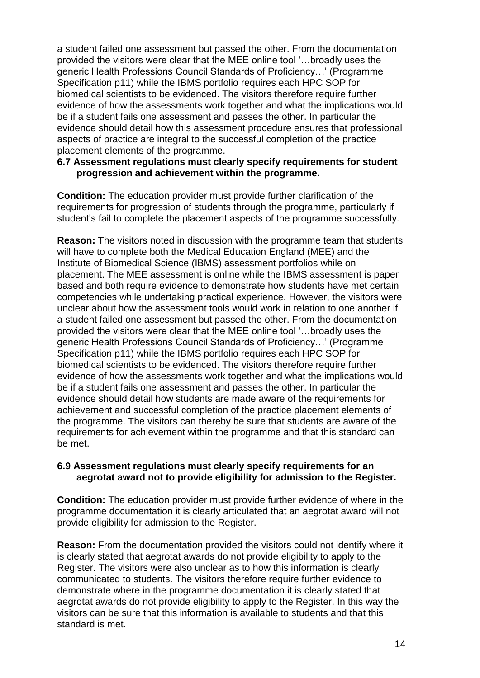a student failed one assessment but passed the other. From the documentation provided the visitors were clear that the MEE online tool '…broadly uses the generic Health Professions Council Standards of Proficiency…' (Programme Specification p11) while the IBMS portfolio requires each HPC SOP for biomedical scientists to be evidenced. The visitors therefore require further evidence of how the assessments work together and what the implications would be if a student fails one assessment and passes the other. In particular the evidence should detail how this assessment procedure ensures that professional aspects of practice are integral to the successful completion of the practice placement elements of the programme.

#### **6.7 Assessment regulations must clearly specify requirements for student progression and achievement within the programme.**

**Condition:** The education provider must provide further clarification of the requirements for progression of students through the programme, particularly if student's fail to complete the placement aspects of the programme successfully.

**Reason:** The visitors noted in discussion with the programme team that students will have to complete both the Medical Education England (MEE) and the Institute of Biomedical Science (IBMS) assessment portfolios while on placement. The MEE assessment is online while the IBMS assessment is paper based and both require evidence to demonstrate how students have met certain competencies while undertaking practical experience. However, the visitors were unclear about how the assessment tools would work in relation to one another if a student failed one assessment but passed the other. From the documentation provided the visitors were clear that the MEE online tool '…broadly uses the generic Health Professions Council Standards of Proficiency…' (Programme Specification p11) while the IBMS portfolio requires each HPC SOP for biomedical scientists to be evidenced. The visitors therefore require further evidence of how the assessments work together and what the implications would be if a student fails one assessment and passes the other. In particular the evidence should detail how students are made aware of the requirements for achievement and successful completion of the practice placement elements of the programme. The visitors can thereby be sure that students are aware of the requirements for achievement within the programme and that this standard can be met.

#### **6.9 Assessment regulations must clearly specify requirements for an aegrotat award not to provide eligibility for admission to the Register.**

**Condition:** The education provider must provide further evidence of where in the programme documentation it is clearly articulated that an aegrotat award will not provide eligibility for admission to the Register.

**Reason:** From the documentation provided the visitors could not identify where it is clearly stated that aegrotat awards do not provide eligibility to apply to the Register. The visitors were also unclear as to how this information is clearly communicated to students. The visitors therefore require further evidence to demonstrate where in the programme documentation it is clearly stated that aegrotat awards do not provide eligibility to apply to the Register. In this way the visitors can be sure that this information is available to students and that this standard is met.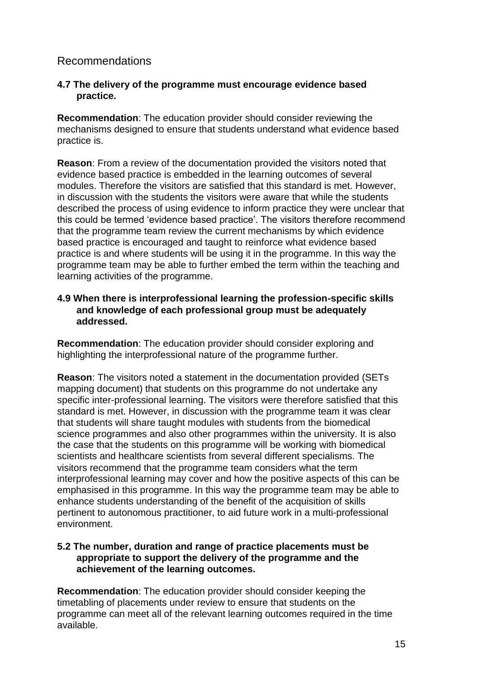# Recommendations

#### **4.7 The delivery of the programme must encourage evidence based practice.**

**Recommendation**: The education provider should consider reviewing the mechanisms designed to ensure that students understand what evidence based practice is.

**Reason**: From a review of the documentation provided the visitors noted that evidence based practice is embedded in the learning outcomes of several modules. Therefore the visitors are satisfied that this standard is met. However, in discussion with the students the visitors were aware that while the students described the process of using evidence to inform practice they were unclear that this could be termed 'evidence based practice'. The visitors therefore recommend that the programme team review the current mechanisms by which evidence based practice is encouraged and taught to reinforce what evidence based practice is and where students will be using it in the programme. In this way the programme team may be able to further embed the term within the teaching and learning activities of the programme.

#### **4.9 When there is interprofessional learning the profession-specific skills and knowledge of each professional group must be adequately addressed.**

**Recommendation**: The education provider should consider exploring and highlighting the interprofessional nature of the programme further.

**Reason**: The visitors noted a statement in the documentation provided (SETs mapping document) that students on this programme do not undertake any specific inter-professional learning. The visitors were therefore satisfied that this standard is met. However, in discussion with the programme team it was clear that students will share taught modules with students from the biomedical science programmes and also other programmes within the university. It is also the case that the students on this programme will be working with biomedical scientists and healthcare scientists from several different specialisms. The visitors recommend that the programme team considers what the term interprofessional learning may cover and how the positive aspects of this can be emphasised in this programme. In this way the programme team may be able to enhance students understanding of the benefit of the acquisition of skills pertinent to autonomous practitioner, to aid future work in a multi-professional environment.

#### **5.2 The number, duration and range of practice placements must be appropriate to support the delivery of the programme and the achievement of the learning outcomes.**

**Recommendation**: The education provider should consider keeping the timetabling of placements under review to ensure that students on the programme can meet all of the relevant learning outcomes required in the time available.